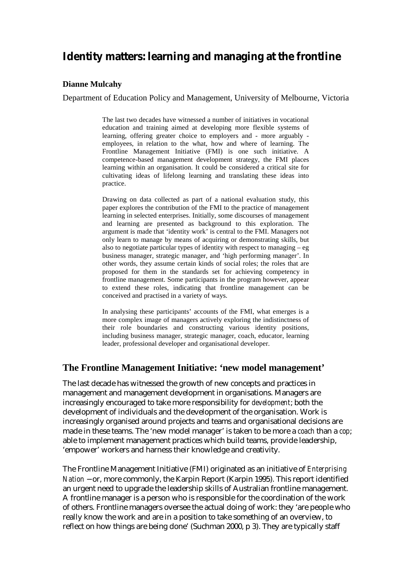# **Identity matters: learning and managing at the frontline**

#### **Dianne Mulcahy**

Department of Education Policy and Management, University of Melbourne, Victoria

The last two decades have witnessed a number of initiatives in vocational education and training aimed at developing more flexible systems of learning, offering greater choice to employers and - more arguably employees, in relation to the what, how and where of learning. The Frontline Management Initiative (FMI) is one such initiative. A competence-based management development strategy, the FMI places learning within an organisation. It could be considered a critical site for cultivating ideas of lifelong learning and translating these ideas into practice.

Drawing on data collected as part of a national evaluation study, this paper explores the contribution of the FMI to the practice of management learning in selected enterprises. Initially, some discourses of management and learning are presented as background to this exploration. The argument is made that 'identity work' is central to the FMI. Managers not only learn to manage by means of acquiring or demonstrating skills, but also to negotiate particular types of identity with respect to managing  $-$  eg business manager, strategic manager, and 'high performing manager'. In other words, they assume certain kinds of social roles; the roles that are proposed for them in the standards set for achieving competency in frontline management. Some participants in the program however, appear to extend these roles, indicating that frontline management can be conceived and practised in a variety of ways.

In analysing these participants' accounts of the FMI, what emerges is a more complex image of managers actively exploring the indistinctness of their role boundaries and constructing various identity positions, including business manager, strategic manager, coach, educator, learning leader, professional developer and organisational developer.

#### **The Frontline Management Initiative: 'new model management'**

The last decade has witnessed the growth of new concepts and practices in management and management development in organisations. Managers are increasingly encouraged to take more responsibility for *development*; both the development of individuals and the development of the organisation. Work is increasingly organised around projects and teams and organisational decisions are made in these teams. The 'new model manager' is taken to be more a *coach* than a *cop*; able to implement management practices which build teams, provide leadership, 'empower' workers and harness their knowledge and creativity.

The Frontline Management Initiative (FMI) originated as an initiative of *Enterprising Nation* − or, more commonly, the Karpin Report (Karpin 1995). This report identified an urgent need to upgrade the leadership skills of Australian frontline management. A frontline manager is a person who is responsible for the coordination of the work of others. Frontline managers oversee the actual doing of work: they 'are people who really know the work and are in a position to take something of an overview, to reflect on how things are being done' (Suchman 2000, p 3). They are typically staff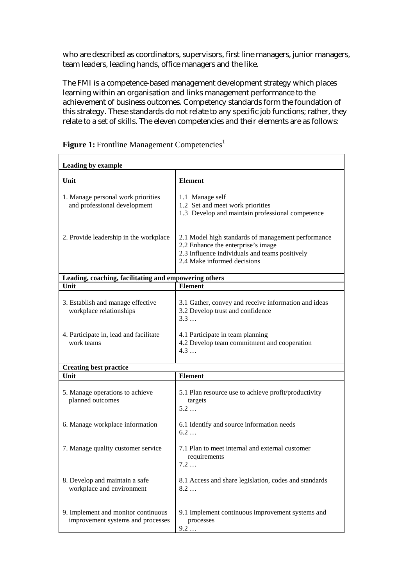who are described as coordinators, supervisors, first line managers, junior managers, team leaders, leading hands, office managers and the like.

The FMI is a competence-based management development strategy which places learning within an organisation and links management performance to the achievement of business outcomes. Competency standards form the foundation of this strategy. These standards do not relate to any specific job functions; rather, they relate to a set of skills. The eleven competencies and their elements are as follows:

| <b>Leading by example</b>                                                |                                                                                                                                                                           |  |
|--------------------------------------------------------------------------|---------------------------------------------------------------------------------------------------------------------------------------------------------------------------|--|
| Unit                                                                     | <b>Element</b>                                                                                                                                                            |  |
| 1. Manage personal work priorities<br>and professional development       | 1.1 Manage self<br>1.2 Set and meet work priorities<br>1.3 Develop and maintain professional competence                                                                   |  |
| 2. Provide leadership in the workplace                                   | 2.1 Model high standards of management performance<br>2.2 Enhance the enterprise's image<br>2.3 Influence individuals and teams positively<br>2.4 Make informed decisions |  |
| Leading, coaching, facilitating and empowering others                    |                                                                                                                                                                           |  |
| Unit                                                                     | <b>Element</b>                                                                                                                                                            |  |
| 3. Establish and manage effective<br>workplace relationships             | 3.1 Gather, convey and receive information and ideas<br>3.2 Develop trust and confidence<br>3.3                                                                           |  |
| 4. Participate in, lead and facilitate<br>work teams                     | 4.1 Participate in team planning<br>4.2 Develop team commitment and cooperation<br>4.3                                                                                    |  |
| <b>Creating best practice</b>                                            |                                                                                                                                                                           |  |
| Unit                                                                     | <b>Element</b>                                                                                                                                                            |  |
| 5. Manage operations to achieve<br>planned outcomes                      | 5.1 Plan resource use to achieve profit/productivity<br>targets<br>$5.2 \ldots$                                                                                           |  |
| 6. Manage workplace information                                          | 6.1 Identify and source information needs<br>$6.2 \ldots$                                                                                                                 |  |
| 7. Manage quality customer service                                       | 7.1 Plan to meet internal and external customer<br>requirements<br>7.2                                                                                                    |  |
| 8. Develop and maintain a safe<br>workplace and environment              | 8.1 Access and share legislation, codes and standards<br>$8.2\dots$                                                                                                       |  |
| 9. Implement and monitor continuous<br>improvement systems and processes | 9.1 Implement continuous improvement systems and<br>processes<br>9.2                                                                                                      |  |

Figure 1: Frontline Management Competencies<sup>1</sup>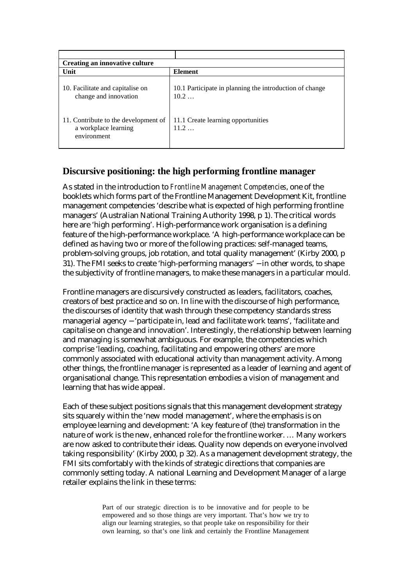| <b>Creating an innovative culture</b>                                       |                                                                 |  |
|-----------------------------------------------------------------------------|-----------------------------------------------------------------|--|
| Unit                                                                        | <b>Element</b>                                                  |  |
| 10. Facilitate and capitalise on<br>change and innovation                   | 10.1 Participate in planning the introduction of change<br>10.2 |  |
| 11. Contribute to the development of<br>a workplace learning<br>environment | 11.1 Create learning opportunities<br>11.2                      |  |

# **Discursive positioning: the high performing frontline manager**

As stated in the introduction to *Frontline Management Competencies*, one of the booklets which forms part of the Frontline Management Development Kit, frontline management competencies 'describe what is expected of high performing frontline managers' (Australian National Training Authority 1998, p 1). The critical words here are 'high performing'. High-performance work organisation is a defining feature of the high-performance workplace. 'A high-performance workplace can be defined as having two or more of the following practices: self-managed teams, problem-solving groups, job rotation, and total quality management' (Kirby 2000, p 31). The FMI seeks to create 'high-performing managers' − in other words, to shape the subjectivity of frontline managers, to make these managers in a particular mould.

Frontline managers are discursively constructed as leaders, facilitators, coaches, creators of best practice and so on. In line with the discourse of high performance, the discourses of identity that wash through these competency standards stress managerial agency − 'participate in, lead and facilitate work teams', 'facilitate and capitalise on change and innovation'. Interestingly, the relationship between learning and managing is somewhat ambiguous. For example, the competencies which comprise 'leading, coaching, facilitating and empowering others' are more commonly associated with educational activity than management activity. Among other things, the frontline manager is represented as a leader of learning and agent of organisational change. This representation embodies a vision of management and learning that has wide appeal.

Each of these subject positions signals that this management development strategy sits squarely within the 'new model management', where the emphasis is on employee learning and development: 'A key feature of (the) transformation in the nature of work is the new, enhanced role for the frontline worker. … Many workers are now asked to contribute their ideas. Quality now depends on everyone involved taking responsibility' (Kirby 2000, p 32). As a management development strategy, the FMI sits comfortably with the kinds of strategic directions that companies are commonly setting today. A national Learning and Development Manager of a large retailer explains the link in these terms:

> Part of our strategic direction is to be innovative and for people to be empowered and so those things are very important. That's how we try to align our learning strategies, so that people take on responsibility for their own learning, so that's one link and certainly the Frontline Management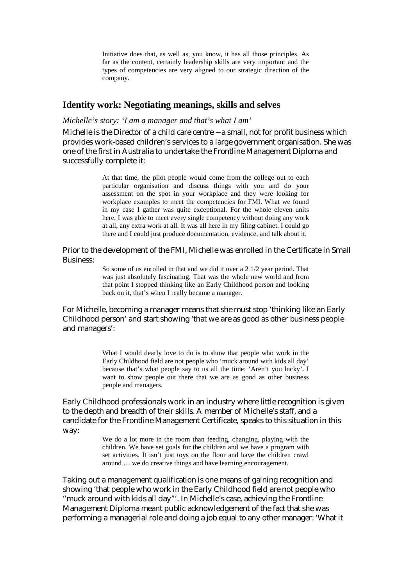Initiative does that, as well as, you know, it has all those principles. As far as the content, certainly leadership skills are very important and the types of competencies are very aligned to our strategic direction of the company.

### **Identity work: Negotiating meanings, skills and selves**

#### *Michelle's story: 'I am a manager and that's what I am'*

Michelle is the Director of a child care centre − a small, not for profit business which provides work-based children's services to a large government organisation. She was one of the first in Australia to undertake the Frontline Management Diploma and successfully complete it:

> At that time, the pilot people would come from the college out to each particular organisation and discuss things with you and do your assessment on the spot in your workplace and they were looking for workplace examples to meet the competencies for FMI. What we found in my case I gather was quite exceptional. For the whole eleven units here, I was able to meet every single competency without doing any work at all, any extra work at all. It was all here in my filing cabinet. I could go there and I could just produce documentation, evidence, and talk about it.

Prior to the development of the FMI, Michelle was enrolled in the Certificate in Small Business:

> So some of us enrolled in that and we did it over a 2 1/2 year period. That was just absolutely fascinating. That was the whole new world and from that point I stopped thinking like an Early Childhood person and looking back on it, that's when I really became a manager.

For Michelle, becoming a manager means that she must stop 'thinking like an Early Childhood person' and start showing 'that we are as good as other business people and managers':

> What I would dearly love to do is to show that people who work in the Early Childhood field are not people who 'muck around with kids all day' because that's what people say to us all the time: 'Aren't you lucky'. I want to show people out there that we are as good as other business people and managers.

Early Childhood professionals work in an industry where little recognition is given to the depth and breadth of their skills. A member of Michelle's staff, and a candidate for the Frontline Management Certificate, speaks to this situation in this way:

> We do a lot more in the room than feeding, changing, playing with the children. We have set goals for the children and we have a program with set activities. It isn't just toys on the floor and have the children crawl around … we do creative things and have learning encouragement.

Taking out a management qualification is one means of gaining recognition and showing 'that people who work in the Early Childhood field are not people who "muck around with kids all day"'. In Michelle's case, achieving the Frontline Management Diploma meant public acknowledgement of the fact that she was performing a managerial role and doing a job equal to any other manager: 'What it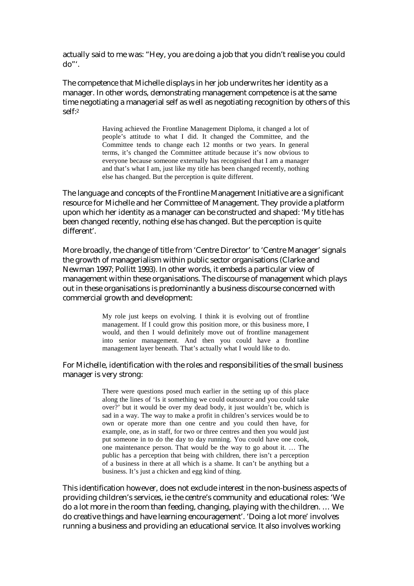actually said to me was: "Hey, you are doing a job that you didn't realise you could do"'.

The competence that Michelle displays in her job underwrites her identity as a manager. In other words, demonstrating management competence is at the same time negotiating a managerial self as well as negotiating recognition by others of this self:2

> Having achieved the Frontline Management Diploma, it changed a lot of people's attitude to what I did. It changed the Committee, and the Committee tends to change each 12 months or two years. In general terms, it's changed the Committee attitude because it's now obvious to everyone because someone externally has recognised that I am a manager and that's what I am, just like my title has been changed recently, nothing else has changed. But the perception is quite different.

The language and concepts of the Frontline Management Initiative are a significant resource for Michelle and her Committee of Management. They provide a platform upon which her identity as a manager can be constructed and shaped: 'My title has been changed recently, nothing else has changed. But the perception is quite different'.

More broadly, the change of title from 'Centre Director' to 'Centre Manager' signals the growth of managerialism within public sector organisations (Clarke and Newman 1997; Pollitt 1993). In other words, it embeds a particular view of management within these organisations. The discourse of management which plays out in these organisations is predominantly a business discourse concerned with commercial growth and development:

> My role just keeps on evolving. I think it is evolving out of frontline management. If I could grow this position more, or this business more, I would, and then I would definitely move out of frontline management into senior management. And then you could have a frontline management layer beneath. That's actually what I would like to do.

#### For Michelle, identification with the roles and responsibilities of the small business manager is very strong:

There were questions posed much earlier in the setting up of this place along the lines of 'Is it something we could outsource and you could take over?' but it would be over my dead body, it just wouldn't be, which is sad in a way. The way to make a profit in children's services would be to own or operate more than one centre and you could then have, for example, one, as in staff, for two or three centres and then you would just put someone in to do the day to day running. You could have one cook, one maintenance person. That would be the way to go about it. … The public has a perception that being with children, there isn't a perception of a business in there at all which is a shame. It can't be anything but a business. It's just a chicken and egg kind of thing.

This identification however, does not exclude interest in the non-business aspects of providing children's services, ie the centre's community and educational roles: 'We do a lot more in the room than feeding, changing, playing with the children. … We do creative things and have learning encouragement'. 'Doing a lot more' involves running a business and providing an educational service. It also involves working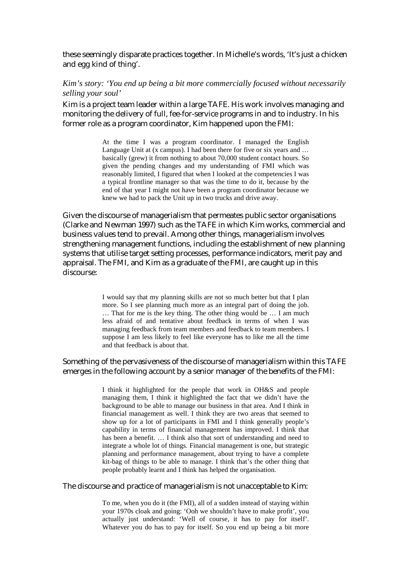these seemingly disparate practices together. In Michelle's words, 'It's just a chicken and egg kind of thing'.

#### *Kim's story: 'You end up being a bit more commercially focused without necessarily selling your soul'*

Kim is a project team leader within a large TAFE. His work involves managing and monitoring the delivery of full, fee-for-service programs in and to industry. In his former role as a program coordinator, Kim happened upon the FMI:

> At the time I was a program coordinator. I managed the English Language Unit at (x campus). I had been there for five or six years and ... basically (grew) it from nothing to about 70,000 student contact hours. So given the pending changes and my understanding of FMI which was reasonably limited, I figured that when I looked at the competencies I was a typical frontline manager so that was the time to do it, because by the end of that year I might not have been a program coordinator because we knew we had to pack the Unit up in two trucks and drive away.

Given the discourse of managerialism that permeates public sector organisations (Clarke and Newman 1997) such as the TAFE in which Kim works, commercial and business values tend to prevail. Among other things, managerialism involves strengthening management functions, including the establishment of new planning systems that utilise target setting processes, performance indicators, merit pay and appraisal. The FMI, and Kim as a graduate of the FMI, are caught up in this discourse:

> I would say that my planning skills are not so much better but that I plan more. So I see planning much more as an integral part of doing the job. … That for me is the key thing. The other thing would be … I am much less afraid of and tentative about feedback in terms of when I was managing feedback from team members and feedback to team members. I suppose I am less likely to feel like everyone has to like me all the time and that feedback is about that.

#### Something of the pervasiveness of the discourse of managerialism within this TAFE emerges in the following account by a senior manager of the benefits of the FMI:

I think it highlighted for the people that work in OH&S and people managing them, I think it highlighted the fact that we didn't have the background to be able to manage our business in that area. And I think in financial management as well. I think they are two areas that seemed to show up for a lot of participants in FMI and I think generally people's capability in terms of financial management has improved. I think that has been a benefit. … I think also that sort of understanding and need to integrate a whole lot of things. Financial management is one, but strategic planning and performance management, about trying to have a complete kit-bag of things to be able to manage. I think that's the other thing that people probably learnt and I think has helped the organisation.

#### The discourse and practice of managerialism is not unacceptable to Kim:

To me, when you do it (the FMI), all of a sudden instead of staying within your 1970s cloak and going: 'Ooh we shouldn't have to make profit', you actually just understand: 'Well of course, it has to pay for itself'. Whatever you do has to pay for itself. So you end up being a bit more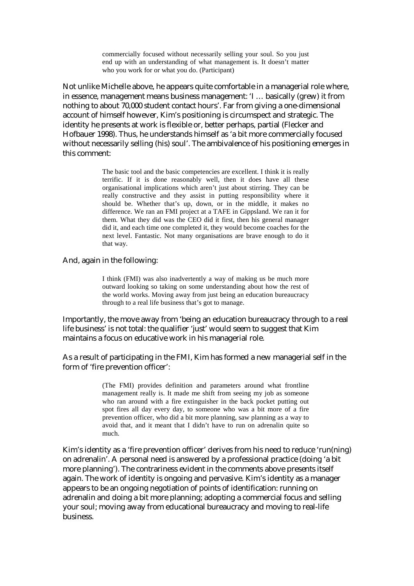commercially focused without necessarily selling your soul. So you just end up with an understanding of what management is. It doesn't matter who you work for or what you do. (Participant)

Not unlike Michelle above, he appears quite comfortable in a managerial role where, in essence, management means business management: 'I … basically (grew) it from nothing to about 70,000 student contact hours'. Far from giving a one-dimensional account of himself however, Kim's positioning is circumspect and strategic. The identity he presents at work is flexible or, better perhaps, partial (Flecker and Hofbauer 1998). Thus, he understands himself as 'a bit more commercially focused without necessarily selling (his) soul'. The ambivalence of his positioning emerges in this comment:

> The basic tool and the basic competencies are excellent. I think it is really terrific. If it is done reasonably well, then it does have all these organisational implications which aren't just about stirring. They can be really constructive and they assist in putting responsibility where it should be. Whether that's up, down, or in the middle, it makes no difference. We ran an FMI project at a TAFE in Gippsland. We ran it for them. What they did was the CEO did it first, then his general manager did it, and each time one completed it, they would become coaches for the next level. Fantastic. Not many organisations are brave enough to do it that way.

And, again in the following:

I think (FMI) was also inadvertently a way of making us be much more outward looking so taking on some understanding about how the rest of the world works. Moving away from just being an education bureaucracy through to a real life business that's got to manage.

Importantly, the move away from 'being an education bureaucracy through to a real life business' is not total: the qualifier 'just' would seem to suggest that Kim maintains a focus on educative work in his managerial role.

As a result of participating in the FMI, Kim has formed a new managerial self in the form of 'fire prevention officer':

> (The FMI) provides definition and parameters around what frontline management really is. It made me shift from seeing my job as someone who ran around with a fire extinguisher in the back pocket putting out spot fires all day every day, to someone who was a bit more of a fire prevention officer, who did a bit more planning, saw planning as a way to avoid that, and it meant that I didn't have to run on adrenalin quite so much.

Kim's identity as a 'fire prevention officer' derives from his need to reduce 'run(ning) on adrenalin'. A personal need is answered by a professional practice (doing 'a bit more planning'). The contrariness evident in the comments above presents itself again. The work of identity is ongoing and pervasive. Kim's identity as a manager appears to be an ongoing negotiation of points of identification: running on adrenalin and doing a bit more planning; adopting a commercial focus and selling your soul; moving away from educational bureaucracy and moving to real-life business.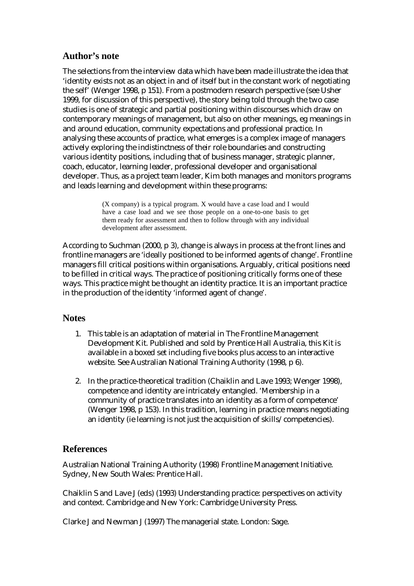## **Author's note**

The selections from the interview data which have been made illustrate the idea that 'identity exists not as an object in and of itself but in the constant work of negotiating the self' (Wenger 1998, p 151). From a postmodern research perspective (see Usher 1999, for discussion of this perspective), the story being told through the two case studies is one of strategic and partial positioning within discourses which draw on contemporary meanings of management, but also on other meanings, eg meanings in and around education, community expectations and professional practice. In analysing these accounts of practice, what emerges is a complex image of managers actively exploring the indistinctness of their role boundaries and constructing various identity positions, including that of business manager, strategic planner, coach, educator, learning leader, professional developer and organisational developer. Thus, as a project team leader, Kim both manages and monitors programs and leads learning and development within these programs:

> (X company) is a typical program. X would have a case load and I would have a case load and we see those people on a one-to-one basis to get them ready for assessment and then to follow through with any individual development after assessment.

According to Suchman (2000, p 3), change is always in process at the front lines and frontline managers are 'ideally positioned to be informed agents of change'. Frontline managers fill critical positions within organisations. Arguably, critical positions need to be filled in critical ways. The practice of positioning critically forms one of these ways. This practice might be thought an identity practice. It is an important practice in the production of the identity 'informed agent of change'.

## **Notes**

- 1. This table is an adaptation of material in The Frontline Management Development Kit. Published and sold by Prentice Hall Australia, this Kit is available in a boxed set including five books plus access to an interactive website. See Australian National Training Authority (1998, p 6).
- 2. In the practice-theoretical tradition (Chaiklin and Lave 1993; Wenger 1998), competence and identity are intricately entangled. 'Membership in a community of practice translates into an identity as a form of competence' (Wenger 1998, p 153). In this tradition, learning in practice means negotiating an identity (ie learning is not just the acquisition of skills/competencies).

## **References**

Australian National Training Authority (1998) Frontline Management Initiative. Sydney, New South Wales: Prentice Hall.

Chaiklin S and Lave J (eds) (1993) Understanding practice: perspectives on activity and context. Cambridge and New York: Cambridge University Press.

Clarke J and Newman J (1997) The managerial state. London: Sage.